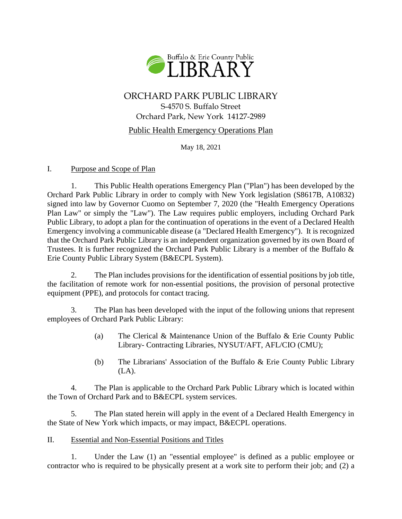

# ORCHARD PARK PUBLIC LIBRARY S-4570 S. Buffalo Street Orchard Park, New York 14127-2989

## Public Health Emergency Operations Plan

May 18, 2021

### I. Purpose and Scope of Plan

1. This Public Health operations Emergency Plan ("Plan") has been developed by the Orchard Park Public Library in order to comply with New York legislation (S8617B, A10832) signed into law by Governor Cuomo on September 7, 2020 (the "Health Emergency Operations Plan Law" or simply the "Law"). The Law requires public employers, including Orchard Park Public Library, to adopt a plan for the continuation of operations in the event of a Declared Health Emergency involving a communicable disease (a "Declared Health Emergency"). It is recognized that the Orchard Park Public Library is an independent organization governed by its own Board of Trustees. It is further recognized the Orchard Park Public Library is a member of the Buffalo & Erie County Public Library System (B&ECPL System).

2. The Plan includes provisions for the identification of essential positions by job title, the facilitation of remote work for non-essential positions, the provision of personal protective equipment (PPE), and protocols for contact tracing.

3. The Plan has been developed with the input of the following unions that represent employees of Orchard Park Public Library:

- (a) The Clerical & Maintenance Union of the Buffalo & Erie County Public Library- Contracting Libraries, NYSUT/AFT, AFL/CIO (CMU);
- (b) The Librarians' Association of the Buffalo & Erie County Public Library (LA).

4. The Plan is applicable to the Orchard Park Public Library which is located within the Town of Orchard Park and to B&ECPL system services.

5. The Plan stated herein will apply in the event of a Declared Health Emergency in the State of New York which impacts, or may impact, B&ECPL operations.

## II. Essential and Non-Essential Positions and Titles

1. Under the Law (1) an "essential employee" is defined as a public employee or contractor who is required to be physically present at a work site to perform their job; and (2) a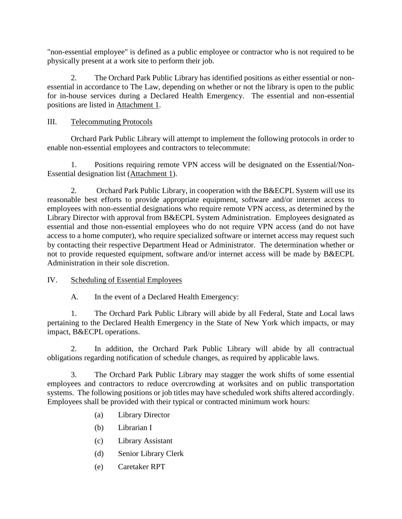"non-essential employee" is defined as a public employee or contractor who is not required to be physically present at a work site to perform their job.

2. The Orchard Park Public Library has identified positions as either essential or nonessential in accordance to The Law, depending on whether or not the library is open to the public for in-house services during a Declared Health Emergency. The essential and non-essential positions are listed in Attachment 1.

# III. Telecommuting Protocols

Orchard Park Public Library will attempt to implement the following protocols in order to enable non-essential employees and contractors to telecommute:

1. Positions requiring remote VPN access will be designated on the Essential/Non-Essential designation list (Attachment 1).

2. Orchard Park Public Library, in cooperation with the B&ECPL System will use its reasonable best efforts to provide appropriate equipment, software and/or internet access to employees with non-essential designations who require remote VPN access, as determined by the Library Director with approval from B&ECPL System Administration. Employees designated as essential and those non-essential employees who do not require VPN access (and do not have access to a home computer), who require specialized software or internet access may request such by contacting their respective Department Head or Administrator. The determination whether or not to provide requested equipment, software and/or internet access will be made by B&ECPL Administration in their sole discretion.

## IV. Scheduling of Essential Employees

A. In the event of a Declared Health Emergency:

1. The Orchard Park Public Library will abide by all Federal, State and Local laws pertaining to the Declared Health Emergency in the State of New York which impacts, or may impact, B&ECPL operations.

2. In addition, the Orchard Park Public Library will abide by all contractual obligations regarding notification of schedule changes, as required by applicable laws.

3. The Orchard Park Public Library may stagger the work shifts of some essential employees and contractors to reduce overcrowding at worksites and on public transportation systems. The following positions or job titles may have scheduled work shifts altered accordingly. Employees shall be provided with their typical or contracted minimum work hours:

- (a) Library Director
- (b) Librarian I
- (c) Library Assistant
- (d) Senior Library Clerk
- (e) Caretaker RPT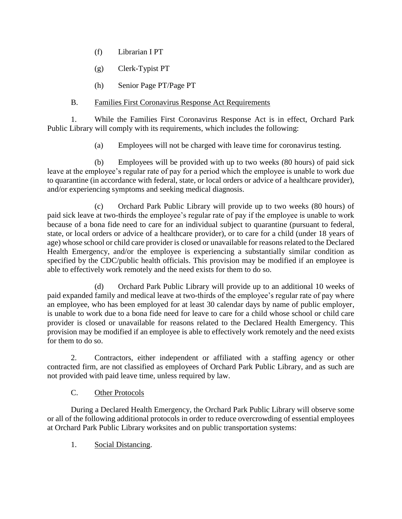- (f) Librarian I PT
- (g) Clerk-Typist PT
- (h) Senior Page PT/Page PT

# B. Families First Coronavirus Response Act Requirements

1. While the Families First Coronavirus Response Act is in effect, Orchard Park Public Library will comply with its requirements, which includes the following:

(a) Employees will not be charged with leave time for coronavirus testing.

(b) Employees will be provided with up to two weeks (80 hours) of paid sick leave at the employee's regular rate of pay for a period which the employee is unable to work due to quarantine (in accordance with federal, state, or local orders or advice of a healthcare provider), and/or experiencing symptoms and seeking medical diagnosis.

(c) Orchard Park Public Library will provide up to two weeks (80 hours) of paid sick leave at two-thirds the employee's regular rate of pay if the employee is unable to work because of a bona fide need to care for an individual subject to quarantine (pursuant to federal, state, or local orders or advice of a healthcare provider), or to care for a child (under 18 years of age) whose school or child care provider is closed or unavailable for reasons related to the Declared Health Emergency, and/or the employee is experiencing a substantially similar condition as specified by the CDC/public health officials. This provision may be modified if an employee is able to effectively work remotely and the need exists for them to do so.

(d) Orchard Park Public Library will provide up to an additional 10 weeks of paid expanded family and medical leave at two-thirds of the employee's regular rate of pay where an employee, who has been employed for at least 30 calendar days by name of public employer, is unable to work due to a bona fide need for leave to care for a child whose school or child care provider is closed or unavailable for reasons related to the Declared Health Emergency. This provision may be modified if an employee is able to effectively work remotely and the need exists for them to do so.

2. Contractors, either independent or affiliated with a staffing agency or other contracted firm, are not classified as employees of Orchard Park Public Library, and as such are not provided with paid leave time, unless required by law.

# C. Other Protocols

During a Declared Health Emergency, the Orchard Park Public Library will observe some or all of the following additional protocols in order to reduce overcrowding of essential employees at Orchard Park Public Library worksites and on public transportation systems:

1. Social Distancing.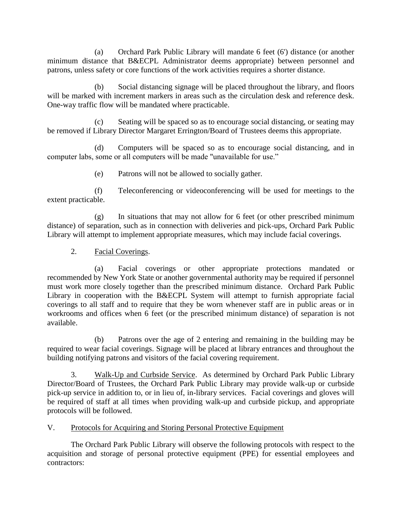(a) Orchard Park Public Library will mandate 6 feet (6') distance (or another minimum distance that B&ECPL Administrator deems appropriate) between personnel and patrons, unless safety or core functions of the work activities requires a shorter distance.

(b) Social distancing signage will be placed throughout the library, and floors will be marked with increment markers in areas such as the circulation desk and reference desk. One-way traffic flow will be mandated where practicable.

(c) Seating will be spaced so as to encourage social distancing, or seating may be removed if Library Director Margaret Errington/Board of Trustees deems this appropriate.

(d) Computers will be spaced so as to encourage social distancing, and in computer labs, some or all computers will be made "unavailable for use."

(e) Patrons will not be allowed to socially gather.

(f) Teleconferencing or videoconferencing will be used for meetings to the extent practicable.

(g) In situations that may not allow for 6 feet (or other prescribed minimum distance) of separation, such as in connection with deliveries and pick-ups, Orchard Park Public Library will attempt to implement appropriate measures, which may include facial coverings.

## 2. Facial Coverings.

(a) Facial coverings or other appropriate protections mandated or recommended by New York State or another governmental authority may be required if personnel must work more closely together than the prescribed minimum distance. Orchard Park Public Library in cooperation with the B&ECPL System will attempt to furnish appropriate facial coverings to all staff and to require that they be worn whenever staff are in public areas or in workrooms and offices when 6 feet (or the prescribed minimum distance) of separation is not available.

(b) Patrons over the age of 2 entering and remaining in the building may be required to wear facial coverings. Signage will be placed at library entrances and throughout the building notifying patrons and visitors of the facial covering requirement.

3. Walk-Up and Curbside Service. As determined by Orchard Park Public Library Director/Board of Trustees, the Orchard Park Public Library may provide walk-up or curbside pick-up service in addition to, or in lieu of, in-library services. Facial coverings and gloves will be required of staff at all times when providing walk-up and curbside pickup, and appropriate protocols will be followed.

## V. Protocols for Acquiring and Storing Personal Protective Equipment

The Orchard Park Public Library will observe the following protocols with respect to the acquisition and storage of personal protective equipment (PPE) for essential employees and contractors: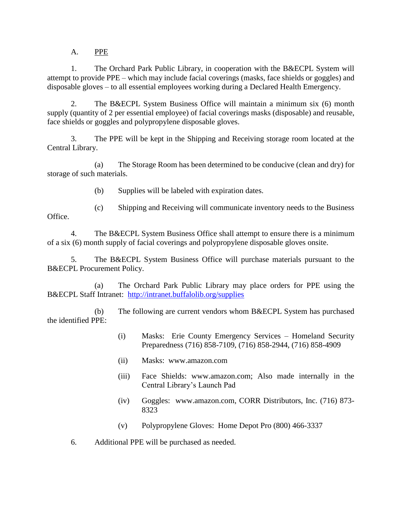A. PPE

1. The Orchard Park Public Library, in cooperation with the B&ECPL System will attempt to provide PPE – which may include facial coverings (masks, face shields or goggles) and disposable gloves – to all essential employees working during a Declared Health Emergency.

2. The B&ECPL System Business Office will maintain a minimum six (6) month supply (quantity of 2 per essential employee) of facial coverings masks (disposable) and reusable, face shields or goggles and polypropylene disposable gloves.

3. The PPE will be kept in the Shipping and Receiving storage room located at the Central Library.

(a) The Storage Room has been determined to be conducive (clean and dry) for storage of such materials.

(b) Supplies will be labeled with expiration dates.

(c) Shipping and Receiving will communicate inventory needs to the Business Office.

4. The B&ECPL System Business Office shall attempt to ensure there is a minimum of a six (6) month supply of facial coverings and polypropylene disposable gloves onsite.

5. The B&ECPL System Business Office will purchase materials pursuant to the B&ECPL Procurement Policy.

(a) The Orchard Park Public Library may place orders for PPE using the B&ECPL Staff Intranet: <http://intranet.buffalolib.org/supplies>

(b) The following are current vendors whom B&ECPL System has purchased the identified PPE:

- (i) Masks: Erie County Emergency Services Homeland Security Preparedness (716) 858-7109, (716) 858-2944, (716) 858-4909
- (ii) Masks: www.amazon.com
- (iii) Face Shields: www.amazon.com; Also made internally in the Central Library's Launch Pad
- (iv) Goggles: www.amazon.com, CORR Distributors, Inc. (716) 873- 8323
- (v) Polypropylene Gloves: Home Depot Pro (800) 466-3337
- 6. Additional PPE will be purchased as needed.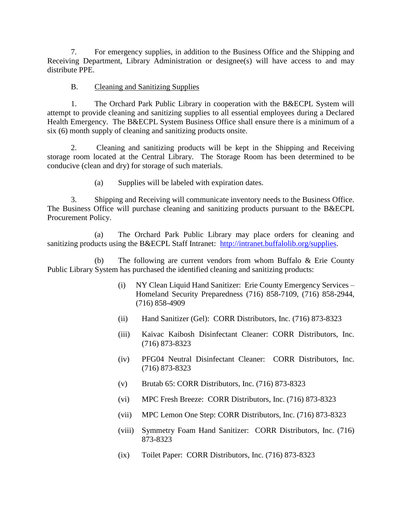7. For emergency supplies, in addition to the Business Office and the Shipping and Receiving Department, Library Administration or designee(s) will have access to and may distribute PPE.

#### B. Cleaning and Sanitizing Supplies

1. The Orchard Park Public Library in cooperation with the B&ECPL System will attempt to provide cleaning and sanitizing supplies to all essential employees during a Declared Health Emergency. The B&ECPL System Business Office shall ensure there is a minimum of a six (6) month supply of cleaning and sanitizing products onsite.

2. Cleaning and sanitizing products will be kept in the Shipping and Receiving storage room located at the Central Library. The Storage Room has been determined to be conducive (clean and dry) for storage of such materials.

(a) Supplies will be labeled with expiration dates.

3. Shipping and Receiving will communicate inventory needs to the Business Office. The Business Office will purchase cleaning and sanitizing products pursuant to the B&ECPL Procurement Policy.

(a) The Orchard Park Public Library may place orders for cleaning and sanitizing products using the B&ECPL Staff Intranet: [http://intranet.buffalolib.org/supplies.](http://intranet.buffalolib.org/supplies)

(b) The following are current vendors from whom Buffalo & Erie County Public Library System has purchased the identified cleaning and sanitizing products:

- (i) NY Clean Liquid Hand Sanitizer: Erie County Emergency Services Homeland Security Preparedness (716) 858-7109, (716) 858-2944, (716) 858-4909
- (ii) Hand Sanitizer (Gel): CORR Distributors, Inc. (716) 873-8323
- (iii) Kaivac Kaibosh Disinfectant Cleaner: CORR Distributors, Inc. (716) 873-8323
- (iv) PFG04 Neutral Disinfectant Cleaner: CORR Distributors, Inc. (716) 873-8323
- (v) Brutab 65: CORR Distributors, Inc. (716) 873-8323
- (vi) MPC Fresh Breeze: CORR Distributors, Inc. (716) 873-8323
- (vii) MPC Lemon One Step: CORR Distributors, Inc. (716) 873-8323
- (viii) Symmetry Foam Hand Sanitizer: CORR Distributors, Inc. (716) 873-8323
- (ix) Toilet Paper: CORR Distributors, Inc. (716) 873-8323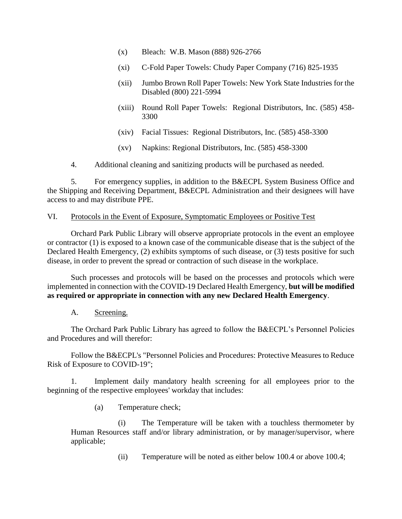- (x) Bleach: W.B. Mason (888) 926-2766
- (xi) C-Fold Paper Towels: Chudy Paper Company (716) 825-1935
- (xii) Jumbo Brown Roll Paper Towels: New York State Industries for the Disabled (800) 221-5994
- (xiii) Round Roll Paper Towels: Regional Distributors, Inc. (585) 458- 3300
- (xiv) Facial Tissues: Regional Distributors, Inc. (585) 458-3300
- (xv) Napkins: Regional Distributors, Inc. (585) 458-3300

4. Additional cleaning and sanitizing products will be purchased as needed.

5. For emergency supplies, in addition to the B&ECPL System Business Office and the Shipping and Receiving Department, B&ECPL Administration and their designees will have access to and may distribute PPE.

#### VI. Protocols in the Event of Exposure, Symptomatic Employees or Positive Test

Orchard Park Public Library will observe appropriate protocols in the event an employee or contractor (1) is exposed to a known case of the communicable disease that is the subject of the Declared Health Emergency, (2) exhibits symptoms of such disease, or (3) tests positive for such disease, in order to prevent the spread or contraction of such disease in the workplace.

Such processes and protocols will be based on the processes and protocols which were implemented in connection with the COVID-19 Declared Health Emergency, **but will be modified as required or appropriate in connection with any new Declared Health Emergency**.

A. Screening.

The Orchard Park Public Library has agreed to follow the B&ECPL's Personnel Policies and Procedures and will therefor:

Follow the B&ECPL's "Personnel Policies and Procedures: Protective Measures to Reduce Risk of Exposure to COVID-19";

1. Implement daily mandatory health screening for all employees prior to the beginning of the respective employees' workday that includes:

(a) Temperature check;

(i) The Temperature will be taken with a touchless thermometer by Human Resources staff and/or library administration, or by manager/supervisor, where applicable;

(ii) Temperature will be noted as either below 100.4 or above 100.4;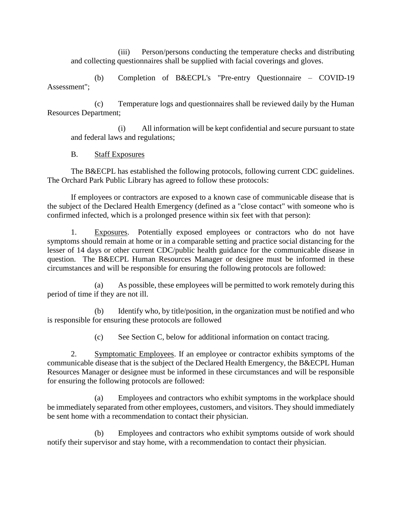(iii) Person/persons conducting the temperature checks and distributing and collecting questionnaires shall be supplied with facial coverings and gloves.

(b) Completion of B&ECPL's "Pre-entry Questionnaire – COVID-19 Assessment";

(c) Temperature logs and questionnaires shall be reviewed daily by the Human Resources Department;

(i) All information will be kept confidential and secure pursuant to state and federal laws and regulations;

### B. Staff Exposures

The B&ECPL has established the following protocols, following current CDC guidelines. The Orchard Park Public Library has agreed to follow these protocols:

If employees or contractors are exposed to a known case of communicable disease that is the subject of the Declared Health Emergency (defined as a "close contact" with someone who is confirmed infected, which is a prolonged presence within six feet with that person):

1. Exposures. Potentially exposed employees or contractors who do not have symptoms should remain at home or in a comparable setting and practice social distancing for the lesser of 14 days or other current CDC/public health guidance for the communicable disease in question. The B&ECPL Human Resources Manager or designee must be informed in these circumstances and will be responsible for ensuring the following protocols are followed:

(a) As possible, these employees will be permitted to work remotely during this period of time if they are not ill.

(b) Identify who, by title/position, in the organization must be notified and who is responsible for ensuring these protocols are followed

(c) See Section C, below for additional information on contact tracing.

2. Symptomatic Employees. If an employee or contractor exhibits symptoms of the communicable disease that is the subject of the Declared Health Emergency, the B&ECPL Human Resources Manager or designee must be informed in these circumstances and will be responsible for ensuring the following protocols are followed:

(a) Employees and contractors who exhibit symptoms in the workplace should be immediately separated from other employees, customers, and visitors. They should immediately be sent home with a recommendation to contact their physician.

(b) Employees and contractors who exhibit symptoms outside of work should notify their supervisor and stay home, with a recommendation to contact their physician.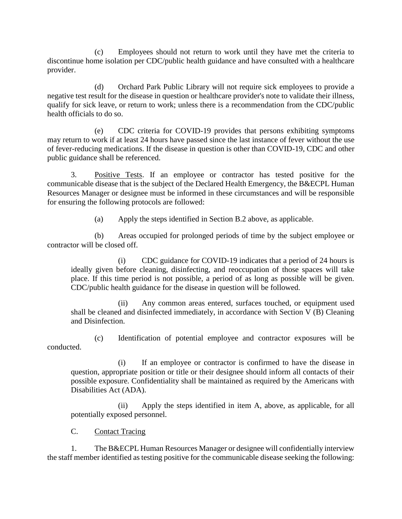(c) Employees should not return to work until they have met the criteria to discontinue home isolation per CDC/public health guidance and have consulted with a healthcare provider.

(d) Orchard Park Public Library will not require sick employees to provide a negative test result for the disease in question or healthcare provider's note to validate their illness, qualify for sick leave, or return to work; unless there is a recommendation from the CDC/public health officials to do so.

(e) CDC criteria for COVID-19 provides that persons exhibiting symptoms may return to work if at least 24 hours have passed since the last instance of fever without the use of fever-reducing medications. If the disease in question is other than COVID-19, CDC and other public guidance shall be referenced.

3. Positive Tests. If an employee or contractor has tested positive for the communicable disease that is the subject of the Declared Health Emergency, the B&ECPL Human Resources Manager or designee must be informed in these circumstances and will be responsible for ensuring the following protocols are followed:

(a) Apply the steps identified in Section B.2 above, as applicable.

(b) Areas occupied for prolonged periods of time by the subject employee or contractor will be closed off.

(i) CDC guidance for COVID-19 indicates that a period of 24 hours is ideally given before cleaning, disinfecting, and reoccupation of those spaces will take place. If this time period is not possible, a period of as long as possible will be given. CDC/public health guidance for the disease in question will be followed.

(ii) Any common areas entered, surfaces touched, or equipment used shall be cleaned and disinfected immediately, in accordance with Section V (B) Cleaning and Disinfection.

(c) Identification of potential employee and contractor exposures will be conducted.

(i) If an employee or contractor is confirmed to have the disease in question, appropriate position or title or their designee should inform all contacts of their possible exposure. Confidentiality shall be maintained as required by the Americans with Disabilities Act (ADA).

(ii) Apply the steps identified in item A, above, as applicable, for all potentially exposed personnel.

C. Contact Tracing

1. The B&ECPL Human Resources Manager or designee will confidentially interview the staff member identified as testing positive for the communicable disease seeking the following: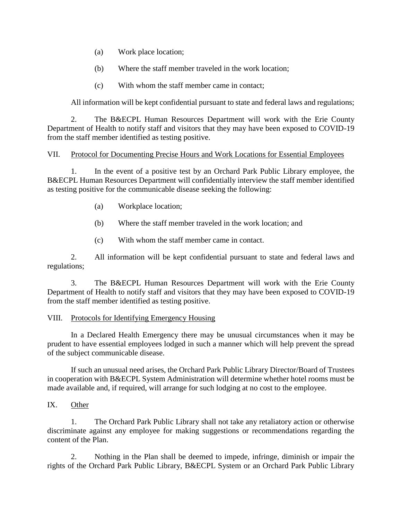- (a) Work place location;
- (b) Where the staff member traveled in the work location;
- (c) With whom the staff member came in contact;

All information will be kept confidential pursuant to state and federal laws and regulations;

2. The B&ECPL Human Resources Department will work with the Erie County Department of Health to notify staff and visitors that they may have been exposed to COVID-19 from the staff member identified as testing positive.

#### VII. Protocol for Documenting Precise Hours and Work Locations for Essential Employees

1. In the event of a positive test by an Orchard Park Public Library employee, the B&ECPL Human Resources Department will confidentially interview the staff member identified as testing positive for the communicable disease seeking the following:

- (a) Workplace location;
- (b) Where the staff member traveled in the work location; and
- (c) With whom the staff member came in contact.

2. All information will be kept confidential pursuant to state and federal laws and regulations;

3. The B&ECPL Human Resources Department will work with the Erie County Department of Health to notify staff and visitors that they may have been exposed to COVID-19 from the staff member identified as testing positive.

#### VIII. Protocols for Identifying Emergency Housing

In a Declared Health Emergency there may be unusual circumstances when it may be prudent to have essential employees lodged in such a manner which will help prevent the spread of the subject communicable disease.

If such an unusual need arises, the Orchard Park Public Library Director/Board of Trustees in cooperation with B&ECPL System Administration will determine whether hotel rooms must be made available and, if required, will arrange for such lodging at no cost to the employee.

#### IX. Other

1. The Orchard Park Public Library shall not take any retaliatory action or otherwise discriminate against any employee for making suggestions or recommendations regarding the content of the Plan.

2. Nothing in the Plan shall be deemed to impede, infringe, diminish or impair the rights of the Orchard Park Public Library, B&ECPL System or an Orchard Park Public Library